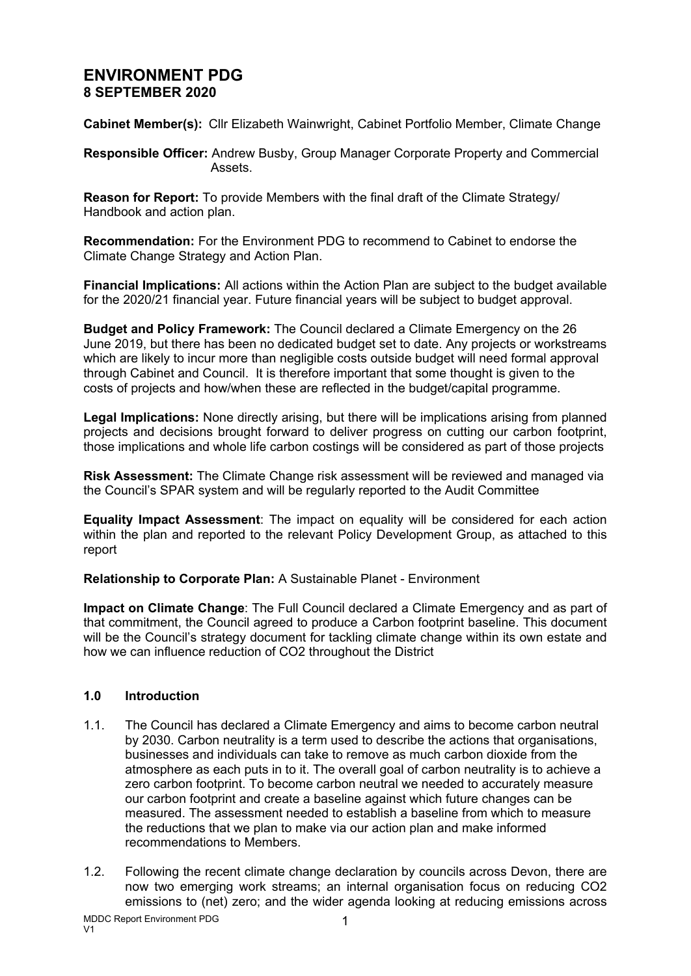# **ENVIRONMENT PDG 8 SEPTEMBER 2020**

**Cabinet Member(s):** Cllr Elizabeth Wainwright, Cabinet Portfolio Member, Climate Change

**Responsible Officer:** Andrew Busby, Group Manager Corporate Property and Commercial Assets.

**Reason for Report:** To provide Members with the final draft of the Climate Strategy/ Handbook and action plan.

**Recommendation:** For the Environment PDG to recommend to Cabinet to endorse the Climate Change Strategy and Action Plan.

**Financial Implications:** All actions within the Action Plan are subject to the budget available for the 2020/21 financial year. Future financial years will be subject to budget approval.

**Budget and Policy Framework:** The Council declared a Climate Emergency on the 26 June 2019, but there has been no dedicated budget set to date. Any projects or workstreams which are likely to incur more than negligible costs outside budget will need formal approval through Cabinet and Council. It is therefore important that some thought is given to the costs of projects and how/when these are reflected in the budget/capital programme.

**Legal Implications:** None directly arising, but there will be implications arising from planned projects and decisions brought forward to deliver progress on cutting our carbon footprint, those implications and whole life carbon costings will be considered as part of those projects

**Risk Assessment:** The Climate Change risk assessment will be reviewed and managed via the Council's SPAR system and will be regularly reported to the Audit Committee

**Equality Impact Assessment**: The impact on equality will be considered for each action within the plan and reported to the relevant Policy Development Group, as attached to this report

**Relationship to Corporate Plan:** A Sustainable Planet - Environment

**Impact on Climate Change**: The Full Council declared a Climate Emergency and as part of that commitment, the Council agreed to produce a Carbon footprint baseline. This document will be the Council's strategy document for tackling climate change within its own estate and how we can influence reduction of CO2 throughout the District

## **1.0 Introduction**

- 1.1. The Council has declared a Climate Emergency and aims to become carbon neutral by 2030. Carbon neutrality is a term used to describe the actions that organisations, businesses and individuals can take to remove as much carbon dioxide from the atmosphere as each puts in to it. The overall goal of carbon neutrality is to achieve a zero carbon footprint. To become carbon neutral we needed to accurately measure our carbon footprint and create a baseline against which future changes can be measured. The assessment needed to establish a baseline from which to measure the reductions that we plan to make via our action plan and make informed recommendations to Members.
- 1.2. Following the recent climate change declaration by councils across Devon, there are now two emerging work streams; an internal organisation focus on reducing CO2 emissions to (net) zero; and the wider agenda looking at reducing emissions across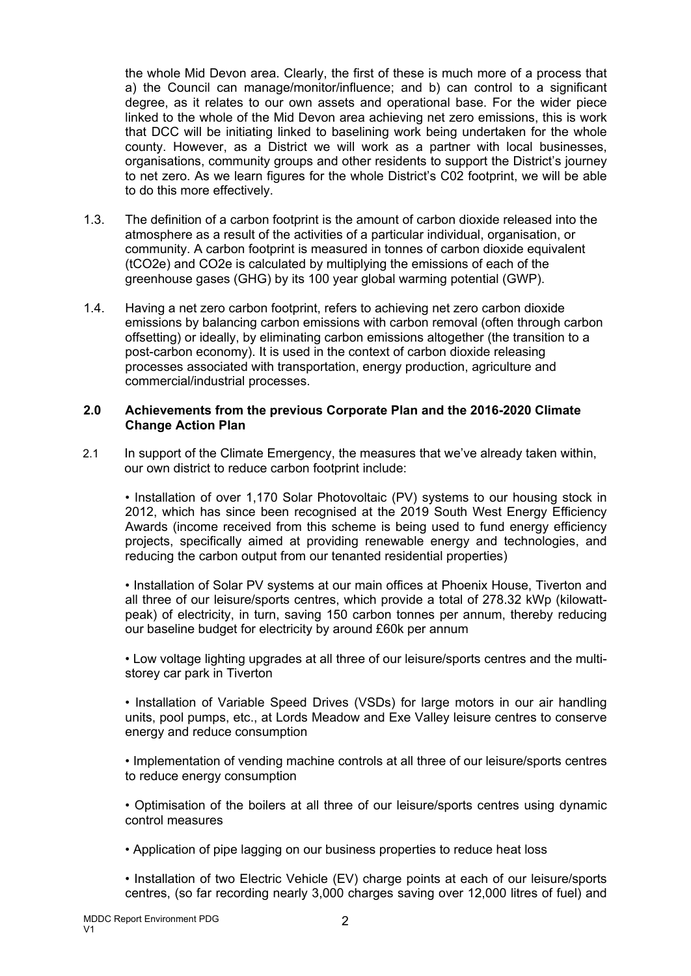the whole Mid Devon area. Clearly, the first of these is much more of a process that a) the Council can manage/monitor/influence; and b) can control to a significant degree, as it relates to our own assets and operational base. For the wider piece linked to the whole of the Mid Devon area achieving net zero emissions, this is work that DCC will be initiating linked to baselining work being undertaken for the whole county. However, as a District we will work as a partner with local businesses, organisations, community groups and other residents to support the District's journey to net zero. As we learn figures for the whole District's C02 footprint, we will be able to do this more effectively.

- 1.3. The definition of a carbon footprint is the amount of carbon dioxide released into the atmosphere as a result of the activities of a particular individual, organisation, or community. A carbon footprint is measured in tonnes of carbon dioxide equivalent (tCO2e) and CO2e is calculated by multiplying the emissions of each of the greenhouse gases (GHG) by its 100 year global warming potential (GWP).
- 1.4. Having a net zero carbon footprint, refers to achieving net zero carbon dioxide emissions by balancing carbon emissions with carbon removal (often through carbon offsetting) or ideally, by eliminating carbon emissions altogether (the transition to a post-carbon economy). It is used in the context of carbon dioxide releasing processes associated with transportation, energy production, agriculture and commercial/industrial processes.

#### **2.0 Achievements from the previous Corporate Plan and the 2016-2020 Climate Change Action Plan**

2.1 In support of the Climate Emergency, the measures that we've already taken within, our own district to reduce carbon footprint include:

• Installation of over 1,170 Solar Photovoltaic (PV) systems to our housing stock in 2012, which has since been recognised at the 2019 South West Energy Efficiency Awards (income received from this scheme is being used to fund energy efficiency projects, specifically aimed at providing renewable energy and technologies, and reducing the carbon output from our tenanted residential properties)

• Installation of Solar PV systems at our main offices at Phoenix House, Tiverton and all three of our leisure/sports centres, which provide a total of 278.32 kWp (kilowattpeak) of electricity, in turn, saving 150 carbon tonnes per annum, thereby reducing our baseline budget for electricity by around £60k per annum

• Low voltage lighting upgrades at all three of our leisure/sports centres and the multistorey car park in Tiverton

• Installation of Variable Speed Drives (VSDs) for large motors in our air handling units, pool pumps, etc., at Lords Meadow and Exe Valley leisure centres to conserve energy and reduce consumption

• Implementation of vending machine controls at all three of our leisure/sports centres to reduce energy consumption

• Optimisation of the boilers at all three of our leisure/sports centres using dynamic control measures

• Application of pipe lagging on our business properties to reduce heat loss

• Installation of two Electric Vehicle (EV) charge points at each of our leisure/sports centres, (so far recording nearly 3,000 charges saving over 12,000 litres of fuel) and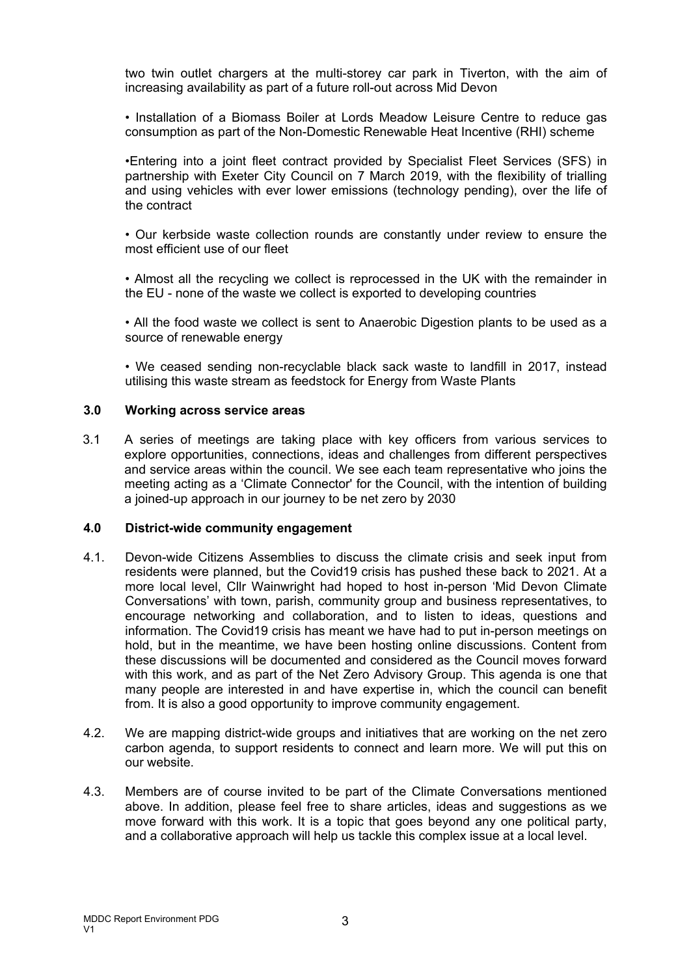two twin outlet chargers at the multi-storey car park in Tiverton, with the aim of increasing availability as part of a future roll-out across Mid Devon

• Installation of a Biomass Boiler at Lords Meadow Leisure Centre to reduce gas consumption as part of the Non-Domestic Renewable Heat Incentive (RHI) scheme

•Entering into a joint fleet contract provided by Specialist Fleet Services (SFS) in partnership with Exeter City Council on 7 March 2019, with the flexibility of trialling and using vehicles with ever lower emissions (technology pending), over the life of the contract

• Our kerbside waste collection rounds are constantly under review to ensure the most efficient use of our fleet

• Almost all the recycling we collect is reprocessed in the UK with the remainder in the EU - none of the waste we collect is exported to developing countries

• All the food waste we collect is sent to Anaerobic Digestion plants to be used as a source of renewable energy

• We ceased sending non-recyclable black sack waste to landfill in 2017, instead utilising this waste stream as feedstock for Energy from Waste Plants

#### **3.0 Working across service areas**

3.1 A series of meetings are taking place with key officers from various services to explore opportunities, connections, ideas and challenges from different perspectives and service areas within the council. We see each team representative who joins the meeting acting as a 'Climate Connector' for the Council, with the intention of building a joined-up approach in our journey to be net zero by 2030

#### **4.0 District-wide community engagement**

- 4.1. Devon-wide Citizens Assemblies to discuss the climate crisis and seek input from residents were planned, but the Covid19 crisis has pushed these back to 2021. At a more local level, Cllr Wainwright had hoped to host in-person 'Mid Devon Climate Conversations' with town, parish, community group and business representatives, to encourage networking and collaboration, and to listen to ideas, questions and information. The Covid19 crisis has meant we have had to put in-person meetings on hold, but in the meantime, we have been hosting online discussions. Content from these discussions will be documented and considered as the Council moves forward with this work, and as part of the Net Zero Advisory Group. This agenda is one that many people are interested in and have expertise in, which the council can benefit from. It is also a good opportunity to improve community engagement.
- 4.2. We are mapping district-wide groups and initiatives that are working on the net zero carbon agenda, to support residents to connect and learn more. We will put this on our website.
- 4.3. Members are of course invited to be part of the Climate Conversations mentioned above. In addition, please feel free to share articles, ideas and suggestions as we move forward with this work. It is a topic that goes beyond any one political party, and a collaborative approach will help us tackle this complex issue at a local level.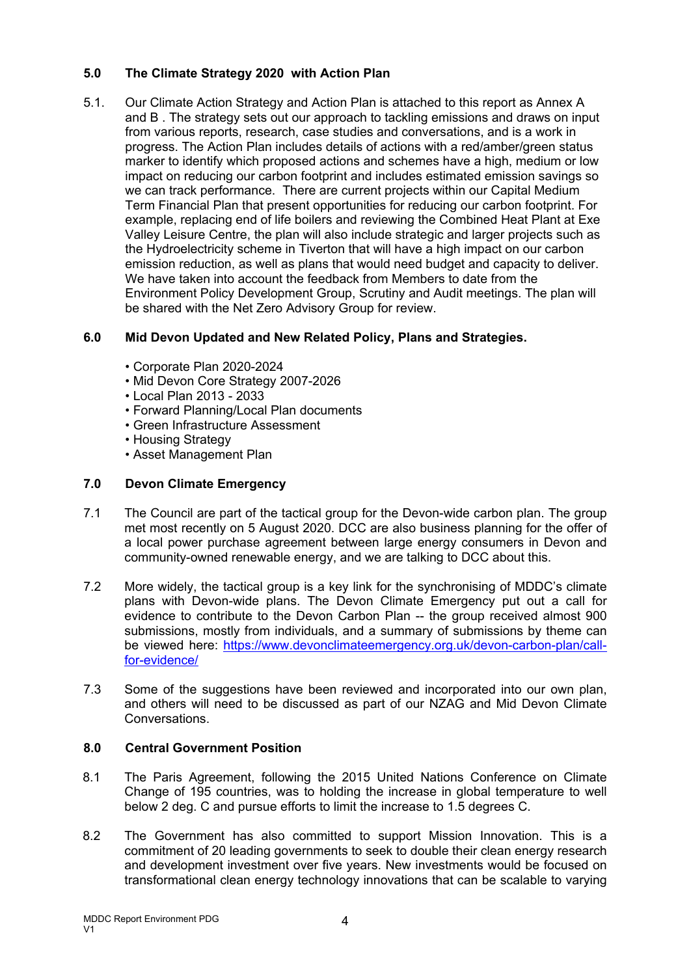## **5.0 The Climate Strategy 2020 with Action Plan**

5.1. Our Climate Action Strategy and Action Plan is attached to this report as Annex A and B . The strategy sets out our approach to tackling emissions and draws on input from various reports, research, case studies and conversations, and is a work in progress. The Action Plan includes details of actions with a red/amber/green status marker to identify which proposed actions and schemes have a high, medium or low impact on reducing our carbon footprint and includes estimated emission savings so we can track performance. There are current projects within our Capital Medium Term Financial Plan that present opportunities for reducing our carbon footprint. For example, replacing end of life boilers and reviewing the Combined Heat Plant at Exe Valley Leisure Centre, the plan will also include strategic and larger projects such as the Hydroelectricity scheme in Tiverton that will have a high impact on our carbon emission reduction, as well as plans that would need budget and capacity to deliver. We have taken into account the feedback from Members to date from the Environment Policy Development Group, Scrutiny and Audit meetings. The plan will be shared with the Net Zero Advisory Group for review.

# **6.0 Mid Devon Updated and New Related Policy, Plans and Strategies.**

- Corporate Plan 2020-2024
- Mid Devon Core Strategy 2007-2026
- Local Plan 2013 2033
- Forward Planning/Local Plan documents
- Green Infrastructure Assessment
- Housing Strategy
- Asset Management Plan

# **7.0 Devon Climate Emergency**

- 7.1 The Council are part of the tactical group for the Devon-wide carbon plan. The group met most recently on 5 August 2020. DCC are also business planning for the offer of a local power purchase agreement between large energy consumers in Devon and community-owned renewable energy, and we are talking to DCC about this.
- 7.2 More widely, the tactical group is a key link for the synchronising of MDDC's climate plans with Devon-wide plans. The Devon Climate Emergency put out a call for evidence to contribute to the Devon Carbon Plan -- the group received almost 900 submissions, mostly from individuals, and a summary of submissions by theme can be viewed here: [https://www.devonclimateemergency.org.uk/devon-carbon-plan/call](https://www.devonclimateemergency.org.uk/devon-carbon-plan/call-for-evidence/)[for-evidence/](https://www.devonclimateemergency.org.uk/devon-carbon-plan/call-for-evidence/)
- 7.3 Some of the suggestions have been reviewed and incorporated into our own plan, and others will need to be discussed as part of our NZAG and Mid Devon Climate Conversations.

# **8.0 Central Government Position**

- 8.1 The Paris Agreement, following the 2015 United Nations Conference on Climate Change of 195 countries, was to holding the increase in global temperature to well below 2 deg. C and pursue efforts to limit the increase to 1.5 degrees C.
- 8.2 The Government has also committed to support Mission Innovation. This is a commitment of 20 leading governments to seek to double their clean energy research and development investment over five years. New investments would be focused on transformational clean energy technology innovations that can be scalable to varying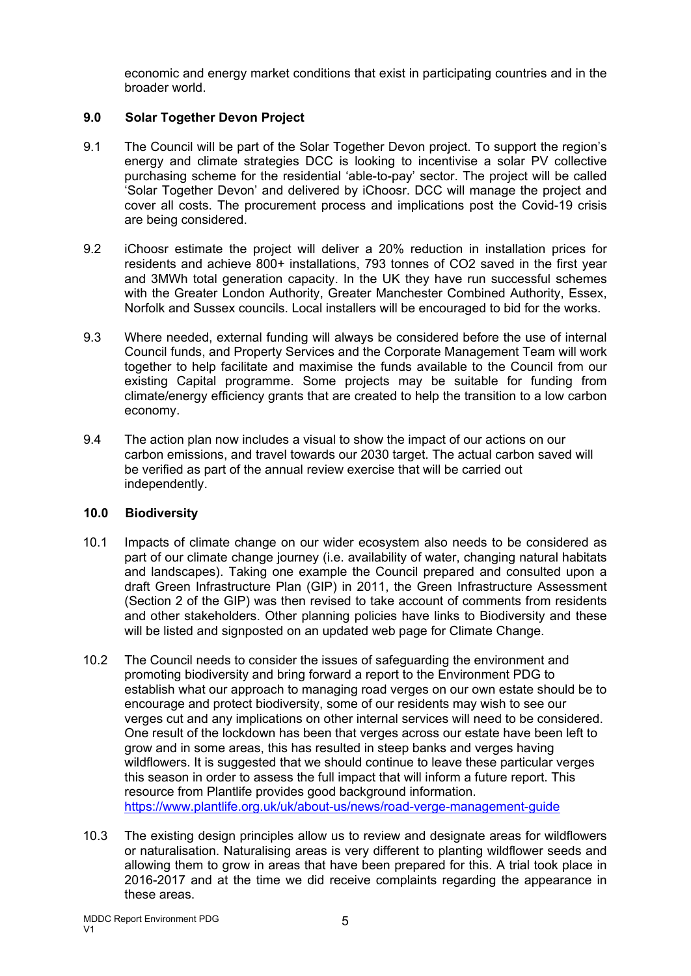economic and energy market conditions that exist in participating countries and in the broader world.

### **9.0 Solar Together Devon Project**

- 9.1 The Council will be part of the Solar Together Devon project. To support the region's energy and climate strategies DCC is looking to incentivise a solar PV collective purchasing scheme for the residential 'able-to-pay' sector. The project will be called 'Solar Together Devon' and delivered by iChoosr. DCC will manage the project and cover all costs. The procurement process and implications post the Covid-19 crisis are being considered.
- 9.2 iChoosr estimate the project will deliver a 20% reduction in installation prices for residents and achieve 800+ installations, 793 tonnes of CO2 saved in the first year and 3MWh total generation capacity. In the UK they have run successful schemes with the Greater London Authority, Greater Manchester Combined Authority, Essex, Norfolk and Sussex councils. Local installers will be encouraged to bid for the works.
- 9.3 Where needed, external funding will always be considered before the use of internal Council funds, and Property Services and the Corporate Management Team will work together to help facilitate and maximise the funds available to the Council from our existing Capital programme. Some projects may be suitable for funding from climate/energy efficiency grants that are created to help the transition to a low carbon economy.
- 9.4 The action plan now includes a visual to show the impact of our actions on our carbon emissions, and travel towards our 2030 target. The actual carbon saved will be verified as part of the annual review exercise that will be carried out independently.

### **10.0 Biodiversity**

- 10.1 Impacts of climate change on our wider ecosystem also needs to be considered as part of our climate change journey (i.e. availability of water, changing natural habitats and landscapes). Taking one example the Council prepared and consulted upon a draft Green Infrastructure Plan (GIP) in 2011, the Green Infrastructure Assessment (Section 2 of the GIP) was then revised to take account of comments from residents and other stakeholders. Other planning policies have links to Biodiversity and these will be listed and signposted on an updated web page for Climate Change.
- 10.2 The Council needs to consider the issues of safeguarding the environment and promoting biodiversity and bring forward a report to the Environment PDG to establish what our approach to managing road verges on our own estate should be to encourage and protect biodiversity, some of our residents may wish to see our verges cut and any implications on other internal services will need to be considered. One result of the lockdown has been that verges across our estate have been left to grow and in some areas, this has resulted in steep banks and verges having wildflowers. It is suggested that we should continue to leave these particular verges this season in order to assess the full impact that will inform a future report. This resource from Plantlife provides good background information. <https://www.plantlife.org.uk/uk/about-us/news/road-verge-management-guide>
- 10.3 The existing design principles allow us to review and designate areas for wildflowers or naturalisation. Naturalising areas is very different to planting wildflower seeds and allowing them to grow in areas that have been prepared for this. A trial took place in 2016-2017 and at the time we did receive complaints regarding the appearance in these areas.